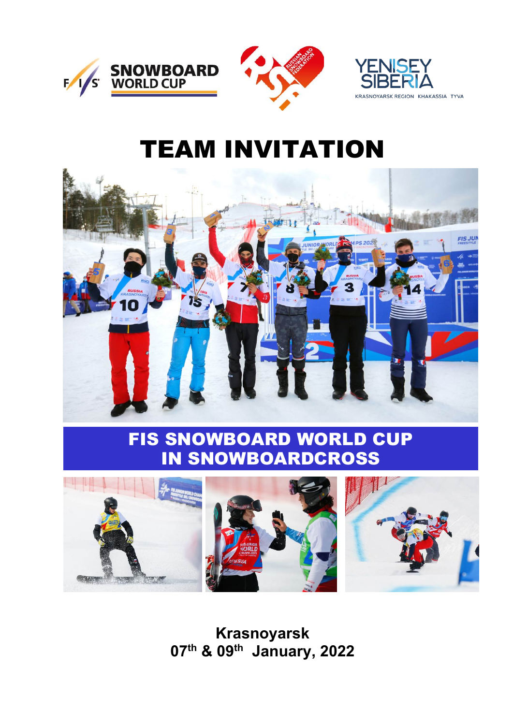

# TEAM INVITATION



# FIS SNOWBOARD WORLD CUP IN SNOWBOARDCROSS



**Krasnoyarsk 07th & 09th January, 2022**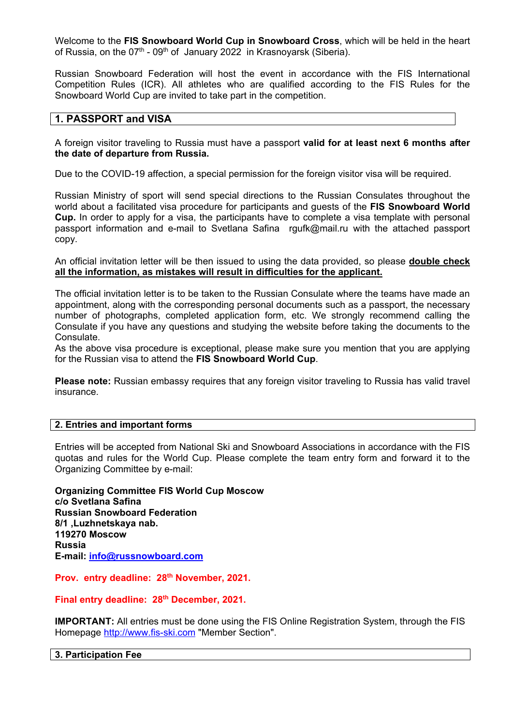Welcome to the **FIS Snowboard World Cup in Snowboard Cross**, which will be held in the heart of Russia, on the  $07<sup>th</sup>$  - 09<sup>th</sup> of January 2022 in Krasnoyarsk (Siberia).

Russian Snowboard Federation will host the event in accordance with the FIS International Competition Rules (ICR). All athletes who are qualified according to the FIS Rules for the Snowboard World Cup are invited to take part in the competition.

# **1. PASSPORT and VISA**

A foreign visitor traveling to Russia must have a passport **valid for at least next 6 months after the date of departure from Russia.**

Due to the COVID-19 affection, a special permission for the foreign visitor visa will be required.

Russian Ministry of sport will send special directions to the Russian Consulates throughout the world about a facilitated visa procedure for participants and guests of the **FIS Snowboard World Cup.** In order to apply for a visa, the participants have to complete a visa template with personal passport information and e-mail to Svetlana Safina rgufk@mail.ru with the attached passport copy.

An official invitation letter will be then issued to using the data provided, so please **double check all the information, as mistakes will result in difficulties for the applicant.** 

The official invitation letter is to be taken to the Russian Consulate where the teams have made an appointment, along with the corresponding personal documents such as a passport, the necessary number of photographs, completed application form, etc. We strongly recommend calling the Consulate if you have any questions and studying the website before taking the documents to the Consulate.

As the above visa procedure is exceptional, please make sure you mention that you are applying for the Russian visa to attend the **FIS Snowboard World Cup**.

**Please note:** Russian embassy requires that any foreign visitor traveling to Russia has valid travel insurance.

# **2. Entries and important forms**

Entries will be accepted from National Ski and Snowboard Associations in accordance with the FIS quotas and rules for the World Cup. Please complete the team entry form and forward it to the Organizing Committee by e-mail:

**Organizing Committee FIS World Cup Moscow c/o Svetlana Safina Russian Snowboard Federation 8/1 ,Luzhnetskaya nab. 119270 Moscow Russia E-mail: [info@russnowboard.com](mailto:info@russnowboard.com)**

**Prov. entry deadline: 28th November, 2021.** 

**Final entry deadline: 28th December, 2021.**

**IMPORTANT:** All entries must be done using the FIS Online Registration System, through the FIS Homepage [http://www.fis-ski.com](http://www.fis-ski.com/) "Member Section".

**3. Participation Fee**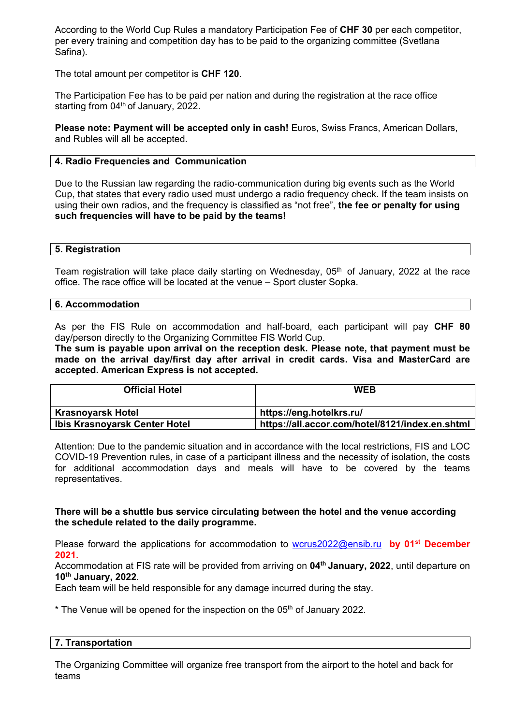According to the World Cup Rules a mandatory Participation Fee of **CHF 30** per each competitor, per every training and competition day has to be paid to the organizing committee (Svetlana Safina).

The total amount per competitor is **CHF 120**.

The Participation Fee has to be paid per nation and during the registration at the race office starting from  $04<sup>th</sup>$  of January, 2022.

**Please note: Payment will be accepted only in cash!** Euros, Swiss Francs, American Dollars, and Rubles will all be accepted.

# **4. Radio Frequencies and Communication**

Due to the Russian law regarding the radio-communication during big events such as the World Cup, that states that every radio used must undergo a radio frequency check. If the team insists on using their own radios, and the frequency is classified as "not free", **the fee or penalty for using such frequencies will have to be paid by the teams!** 

# **5. Registration**

Team registration will take place daily starting on Wednesday,  $05<sup>th</sup>$  of January, 2022 at the race office. The race office will be located at the venue – Sport cluster Sopka.

# **6. Accommodation**

As per the FIS Rule on accommodation and half-board, each participant will pay **CHF 80** day/person directly to the Organizing Committee FIS World Cup.

**The sum is payable upon arrival on the reception desk. Please note, that payment must be made on the arrival day/first day after arrival in credit cards. Visa and MasterCard are accepted. American Express is not accepted.**

| <b>Official Hotel</b>         | <b>WEB</b>                                      |
|-------------------------------|-------------------------------------------------|
| <b>Krasnoyarsk Hotel</b>      | https://eng.hotelkrs.ru/                        |
| Ibis Krasnoyarsk Center Hotel | https://all.accor.com/hotel/8121/index.en.shtml |

Attention: Due to the pandemic situation and in accordance with the local restrictions, FIS and LOC COVID-19 Prevention rules, in case of a participant illness and the necessity of isolation, the costs for additional accommodation days and meals will have to be covered by the teams representatives.

# **There will be a shuttle bus service circulating between the hotel and the venue according the schedule related to the daily programme.**

Please forward the applications for accommodation to [wcrus2022@ensib.ru](mailto:wcrus2022@ensib.ru) **by 01st December 2021.**

Accommodation at FIS rate will be provided from arriving on **04th January, 2022**, until departure on **10th January, 2022**.

Each team will be held responsible for any damage incurred during the stay.

\* The Venue will be opened for the inspection on the 05<sup>th</sup> of January 2022.

# **7. Transportation**

The Organizing Committee will organize free transport from the airport to the hotel and back for teams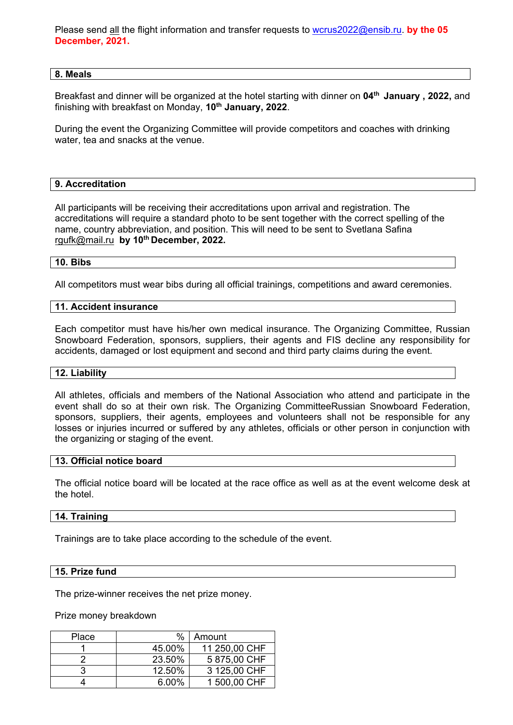Please send all the flight information and transfer requests to [wcrus2022@ensib.ru.](mailto:wcrus2022@ensib.ru) **by the 05 December, 2021.**

#### **8. Meals**

Breakfast and dinner will be organized at the hotel starting with dinner on **04th January , 2022,** and finishing with breakfast on Monday, **10th January, 2022**.

During the event the Organizing Committee will provide competitors and coaches with drinking water, tea and snacks at the venue.

# **9. Accreditation**

All participants will be receiving their accreditations upon arrival and registration. The accreditations will require a standard photo to be sent together with the correct spelling of the name, country abbreviation, and position. This will need to be sent to Svetlana Safina [rgufk@mail.ru](mailto:rgufk@mail.ru) **by 10th December, 2022.** 

#### **10. Bibs**

All competitors must wear bibs during all official trainings, competitions and award ceremonies.

#### **11. Accident insurance**

Each competitor must have his/her own medical insurance. The Organizing Committee, Russian Snowboard Federation, sponsors, suppliers, their agents and FIS decline any responsibility for accidents, damaged or lost equipment and second and third party claims during the event.

#### **12. Liability**

All athletes, officials and members of the National Association who attend and participate in the event shall do so at their own risk. The Organizing CommitteeRussian Snowboard Federation, sponsors, suppliers, their agents, employees and volunteers shall not be responsible for any losses or injuries incurred or suffered by any athletes, officials or other person in conjunction with the organizing or staging of the event.

# **13. Official notice board**

The official notice board will be located at the race office as well as at the event welcome desk at the hotel.

# **14. Training**

Trainings are to take place according to the schedule of the event.

#### **15. Prize fund**

The prize-winner receives the net prize money.

Prize money breakdown

| Place | %      | Amount        |
|-------|--------|---------------|
|       | 45.00% | 11 250,00 CHF |
|       | 23.50% | 5875,00 CHF   |
|       | 12.50% | 3 125,00 CHF  |
|       | 6.00%  | 1 500,00 CHF  |